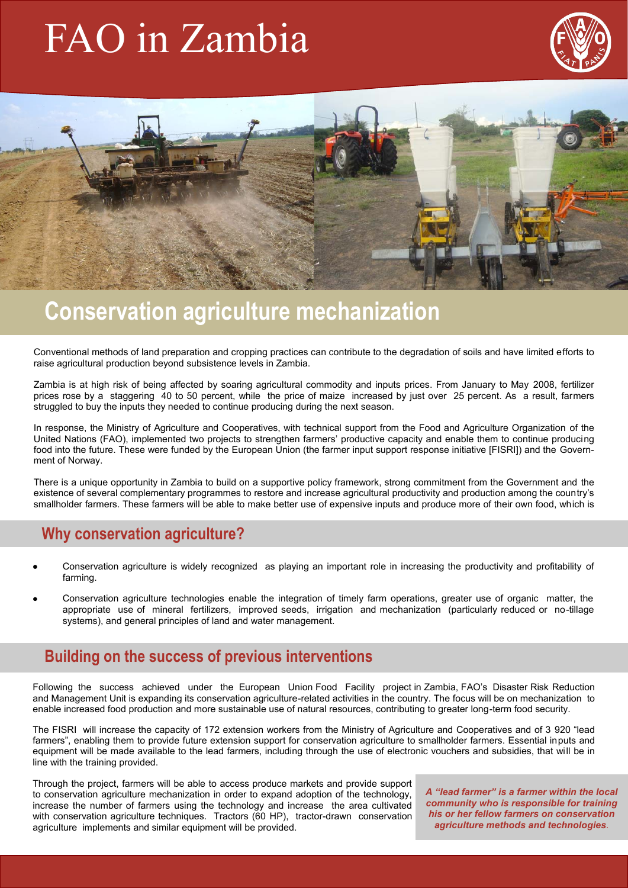# FAO in Zambia





## **Conservation agriculture mechanization**

Conventional methods of land preparation and cropping practices can contribute to the degradation of soils and have limited efforts to raise agricultural production beyond subsistence levels in Zambia.

Zambia is at high risk of being affected by soaring agricultural commodity and inputs prices. From January to May 2008, fertilizer prices rose by a staggering 40 to 50 percent, while the price of maize increased by just over 25 percent. As a result, farmers struggled to buy the inputs they needed to continue producing during the next season.

In response, the Ministry of Agriculture and Cooperatives, with technical support from the Food and Agriculture Organization of the United Nations (FAO), implemented two projects to strengthen farmers' productive capacity and enable them to continue producing food into the future. These were funded by the European Union (the farmer input support response initiative [FISRI]) and the Government of Norway.

There is a unique opportunity in Zambia to build on a supportive policy framework, strong commitment from the Government and the existence of several complementary programmes to restore and increase agricultural productivity and production among the country's smallholder farmers. These farmers will be able to make better use of expensive inputs and produce more of their own food, which is

### **Why conservation agriculture?**

- Conservation agriculture is widely recognized as playing an important role in increasing the productivity and profitability of farming.
- Conservation agriculture technologies enable the integration of timely farm operations, greater use of organic matter, the appropriate use of mineral fertilizers, improved seeds, irrigation and mechanization (particularly reduced or no-tillage systems), and general principles of land and water management.

### **Building on the success of previous interventions**

Following the success achieved under the European Union Food Facility project in Zambia, FAO's Disaster Risk Reduction and Management Unit is expanding its conservation agriculture-related activities in the country. The focus will be on mechanization to enable increased food production and more sustainable use of natural resources, contributing to greater long-term food security.

The FISRI will increase the capacity of 172 extension workers from the Ministry of Agriculture and Cooperatives and of 3 920 "lead farmers", enabling them to provide future extension support for conservation agriculture to smallholder farmers. Essential inputs and equipment will be made available to the lead farmers, including through the use of electronic vouchers and subsidies, that will be in line with the training provided.

Through the project, farmers will be able to access produce markets and provide support to conservation agriculture mechanization in order to expand adoption of the technology, increase the number of farmers using the technology and increase the area cultivated with conservation agriculture techniques. Tractors (60 HP), tractor-drawn conservation agriculture implements and similar equipment will be provided.

*A "lead farmer" is a farmer within the local community who is responsible for training his or her fellow farmers on conservation agriculture methods and technologies.*